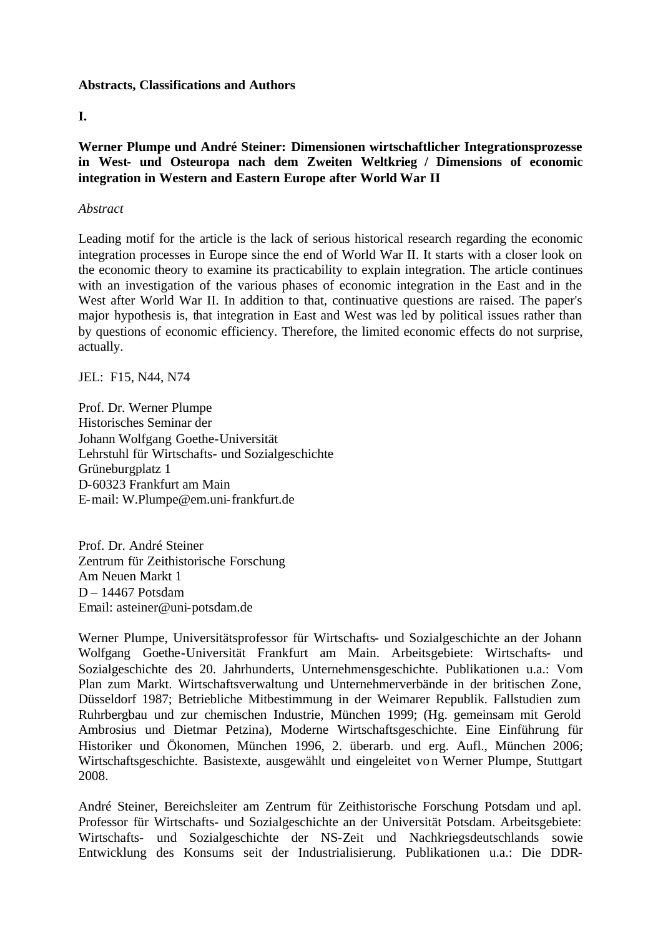#### **Abstracts, Classifications and Authors**

## **I.**

**Werner Plumpe und André Steiner: Dimensionen wirtschaftlicher Integrationsprozesse in West- und Osteuropa nach dem Zweiten Weltkrieg / Dimensions of economic integration in Western and Eastern Europe after World War II**

## *Abstract*

Leading motif for the article is the lack of serious historical research regarding the economic integration processes in Europe since the end of World War II. It starts with a closer look on the economic theory to examine its practicability to explain integration. The article continues with an investigation of the various phases of economic integration in the East and in the West after World War II. In addition to that, continuative questions are raised. The paper's major hypothesis is, that integration in East and West was led by political issues rather than by questions of economic efficiency. Therefore, the limited economic effects do not surprise, actually.

JEL: F15, N44, N74

Prof. Dr. Werner Plumpe Historisches Seminar der Johann Wolfgang Goethe-Universität Lehrstuhl für Wirtschafts- und Sozialgeschichte Grüneburgplatz 1 D-60323 Frankfurt am Main E-mail: W.Plumpe@em.uni-frankfurt.de

Prof. Dr. André Steiner Zentrum für Zeithistorische Forschung Am Neuen Markt 1 D – 14467 Potsdam Email: asteiner@uni-potsdam.de

Werner Plumpe, Universitätsprofessor für Wirtschafts- und Sozialgeschichte an der Johann Wolfgang Goethe-Universität Frankfurt am Main. Arbeitsgebiete: Wirtschafts- und Sozialgeschichte des 20. Jahrhunderts, Unternehmensgeschichte. Publikationen u.a.: Vom Plan zum Markt. Wirtschaftsverwaltung und Unternehmerverbände in der britischen Zone, Düsseldorf 1987; Betriebliche Mitbestimmung in der Weimarer Republik. Fallstudien zum Ruhrbergbau und zur chemischen Industrie, München 1999; (Hg. gemeinsam mit Gerold Ambrosius und Dietmar Petzina), Moderne Wirtschaftsgeschichte. Eine Einführung für Historiker und Ökonomen, München 1996, 2. überarb. und erg. Aufl., München 2006; Wirtschaftsgeschichte. Basistexte, ausgewählt und eingeleitet von Werner Plumpe, Stuttgart 2008.

André Steiner, Bereichsleiter am Zentrum für Zeithistorische Forschung Potsdam und apl. Professor für Wirtschafts- und Sozialgeschichte an der Universität Potsdam. Arbeitsgebiete: Wirtschafts- und Sozialgeschichte der NS-Zeit und Nachkriegsdeutschlands sowie Entwicklung des Konsums seit der Industrialisierung. Publikationen u.a.: Die DDR-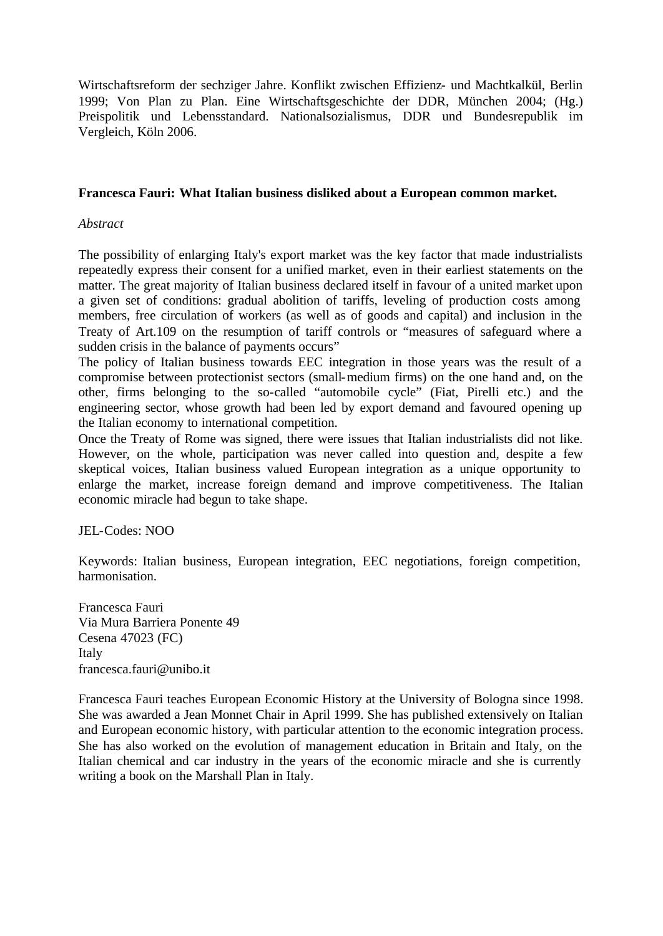Wirtschaftsreform der sechziger Jahre. Konflikt zwischen Effizienz- und Machtkalkül, Berlin 1999; Von Plan zu Plan. Eine Wirtschaftsgeschichte der DDR, München 2004; (Hg.) Preispolitik und Lebensstandard. Nationalsozialismus, DDR und Bundesrepublik im Vergleich, Köln 2006.

## **Francesca Fauri: What Italian business disliked about a European common market.**

## *Abstract*

The possibility of enlarging Italy's export market was the key factor that made industrialists repeatedly express their consent for a unified market, even in their earliest statements on the matter. The great majority of Italian business declared itself in favour of a united market upon a given set of conditions: gradual abolition of tariffs, leveling of production costs among members, free circulation of workers (as well as of goods and capital) and inclusion in the Treaty of Art.109 on the resumption of tariff controls or "measures of safeguard where a sudden crisis in the balance of payments occurs"

The policy of Italian business towards EEC integration in those years was the result of a compromise between protectionist sectors (small-medium firms) on the one hand and, on the other, firms belonging to the so-called "automobile cycle" (Fiat, Pirelli etc.) and the engineering sector, whose growth had been led by export demand and favoured opening up the Italian economy to international competition.

Once the Treaty of Rome was signed, there were issues that Italian industrialists did not like. However, on the whole, participation was never called into question and, despite a few skeptical voices, Italian business valued European integration as a unique opportunity to enlarge the market, increase foreign demand and improve competitiveness. The Italian economic miracle had begun to take shape.

JEL-Codes: NOO

Keywords: Italian business, European integration, EEC negotiations, foreign competition, harmonisation.

Francesca Fauri Via Mura Barriera Ponente 49 Cesena 47023 (FC) Italy francesca.fauri@unibo.it

Francesca Fauri teaches European Economic History at the University of Bologna since 1998. She was awarded a Jean Monnet Chair in April 1999. She has published extensively on Italian and European economic history, with particular attention to the economic integration process. She has also worked on the evolution of management education in Britain and Italy, on the Italian chemical and car industry in the years of the economic miracle and she is currently writing a book on the Marshall Plan in Italy.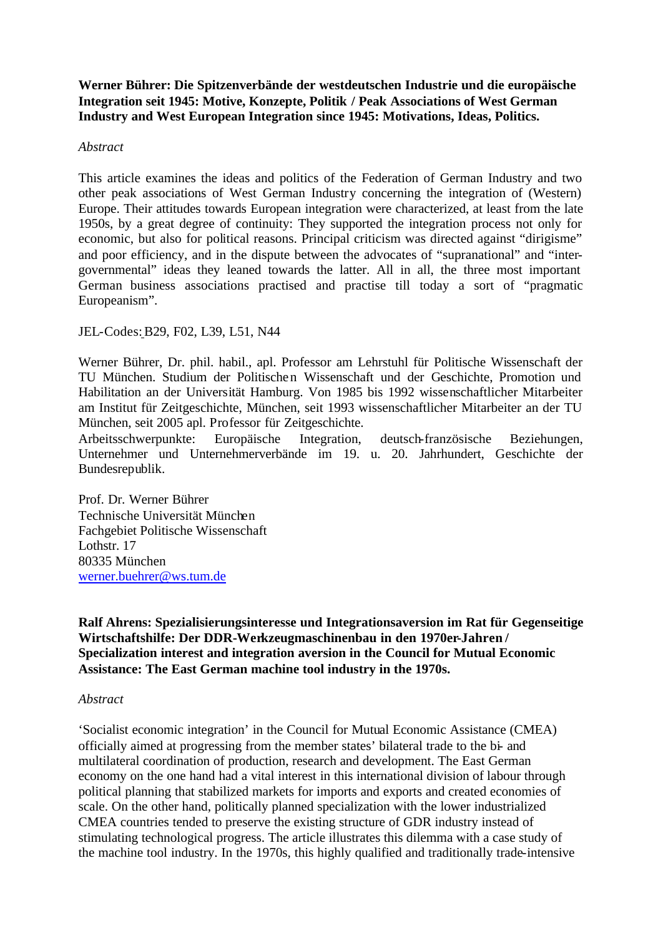**Werner Bührer: Die Spitzenverbände der westdeutschen Industrie und die europäische Integration seit 1945: Motive, Konzepte, Politik / Peak Associations of West German Industry and West European Integration since 1945: Motivations, Ideas, Politics.**

#### *Abstract*

This article examines the ideas and politics of the Federation of German Industry and two other peak associations of West German Industry concerning the integration of (Western) Europe. Their attitudes towards European integration were characterized, at least from the late 1950s, by a great degree of continuity: They supported the integration process not only for economic, but also for political reasons. Principal criticism was directed against "dirigisme" and poor efficiency, and in the dispute between the advocates of "supranational" and "intergovernmental" ideas they leaned towards the latter. All in all, the three most important German business associations practised and practise till today a sort of "pragmatic Europeanism".

## JEL-Codes:B29, F02, L39, L51, N44

Werner Bührer, Dr. phil. habil., apl. Professor am Lehrstuhl für Politische Wissenschaft der TU München. Studium der Politischen Wissenschaft und der Geschichte, Promotion und Habilitation an der Universität Hamburg. Von 1985 bis 1992 wissenschaftlicher Mitarbeiter am Institut für Zeitgeschichte, München, seit 1993 wissenschaftlicher Mitarbeiter an der TU München, seit 2005 apl. Professor für Zeitgeschichte.

Arbeitsschwerpunkte: Europäische Integration, deutsch-französische Beziehungen, Unternehmer und Unternehmerverbände im 19. u. 20. Jahrhundert, Geschichte der Bundesrepublik.

Prof. Dr. Werner Bührer Technische Universität München Fachgebiet Politische Wissenschaft Lothstr. 17 80335 München werner.buehrer@ws.tum.de

**Ralf Ahrens: Spezialisierungsinteresse und Integrationsaversion im Rat für Gegenseitige Wirtschaftshilfe: Der DDR-Werkzeugmaschinenbau in den 1970er-Jahren / Specialization interest and integration aversion in the Council for Mutual Economic Assistance: The East German machine tool industry in the 1970s.**

#### *Abstract*

'Socialist economic integration' in the Council for Mutual Economic Assistance (CMEA) officially aimed at progressing from the member states' bilateral trade to the bi- and multilateral coordination of production, research and development. The East German economy on the one hand had a vital interest in this international division of labour through political planning that stabilized markets for imports and exports and created economies of scale. On the other hand, politically planned specialization with the lower industrialized CMEA countries tended to preserve the existing structure of GDR industry instead of stimulating technological progress. The article illustrates this dilemma with a case study of the machine tool industry. In the 1970s, this highly qualified and traditionally trade-intensive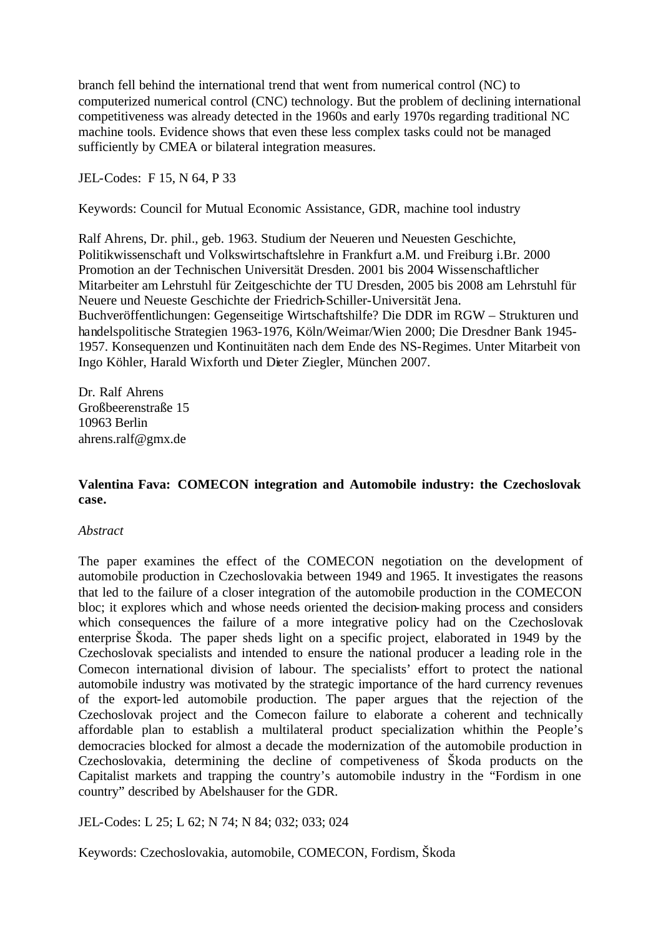branch fell behind the international trend that went from numerical control (NC) to computerized numerical control (CNC) technology. But the problem of declining international competitiveness was already detected in the 1960s and early 1970s regarding traditional NC machine tools. Evidence shows that even these less complex tasks could not be managed sufficiently by CMEA or bilateral integration measures.

JEL-Codes: F 15, N 64, P 33

Keywords: Council for Mutual Economic Assistance, GDR, machine tool industry

Ralf Ahrens, Dr. phil., geb. 1963. Studium der Neueren und Neuesten Geschichte, Politikwissenschaft und Volkswirtschaftslehre in Frankfurt a.M. und Freiburg i.Br. 2000 Promotion an der Technischen Universität Dresden. 2001 bis 2004 Wissenschaftlicher Mitarbeiter am Lehrstuhl für Zeitgeschichte der TU Dresden, 2005 bis 2008 am Lehrstuhl für Neuere und Neueste Geschichte der Friedrich-Schiller-Universität Jena. Buchveröffentlichungen: Gegenseitige Wirtschaftshilfe? Die DDR im RGW – Strukturen und handelspolitische Strategien 1963-1976, Köln/Weimar/Wien 2000; Die Dresdner Bank 1945- 1957. Konsequenzen und Kontinuitäten nach dem Ende des NS-Regimes. Unter Mitarbeit von Ingo Köhler, Harald Wixforth und Dieter Ziegler, München 2007.

Dr. Ralf Ahrens Großbeerenstraße 15 10963 Berlin ahrens.ralf@gmx.de

# **Valentina Fava: COMECON integration and Automobile industry: the Czechoslovak case.**

## *Abstract*

The paper examines the effect of the COMECON negotiation on the development of automobile production in Czechoslovakia between 1949 and 1965. It investigates the reasons that led to the failure of a closer integration of the automobile production in the COMECON bloc; it explores which and whose needs oriented the decision-making process and considers which consequences the failure of a more integrative policy had on the Czechoslovak enterprise Škoda. The paper sheds light on a specific project, elaborated in 1949 by the Czechoslovak specialists and intended to ensure the national producer a leading role in the Comecon international division of labour. The specialists' effort to protect the national automobile industry was motivated by the strategic importance of the hard currency revenues of the export-led automobile production. The paper argues that the rejection of the Czechoslovak project and the Comecon failure to elaborate a coherent and technically affordable plan to establish a multilateral product specialization whithin the People's democracies blocked for almost a decade the modernization of the automobile production in Czechoslovakia, determining the decline of competiveness of Škoda products on the Capitalist markets and trapping the country's automobile industry in the "Fordism in one country" described by Abelshauser for the GDR.

JEL-Codes: L 25; L 62; N 74; N 84; 032; 033; 024

Keywords: Czechoslovakia, automobile, COMECON, Fordism, Škoda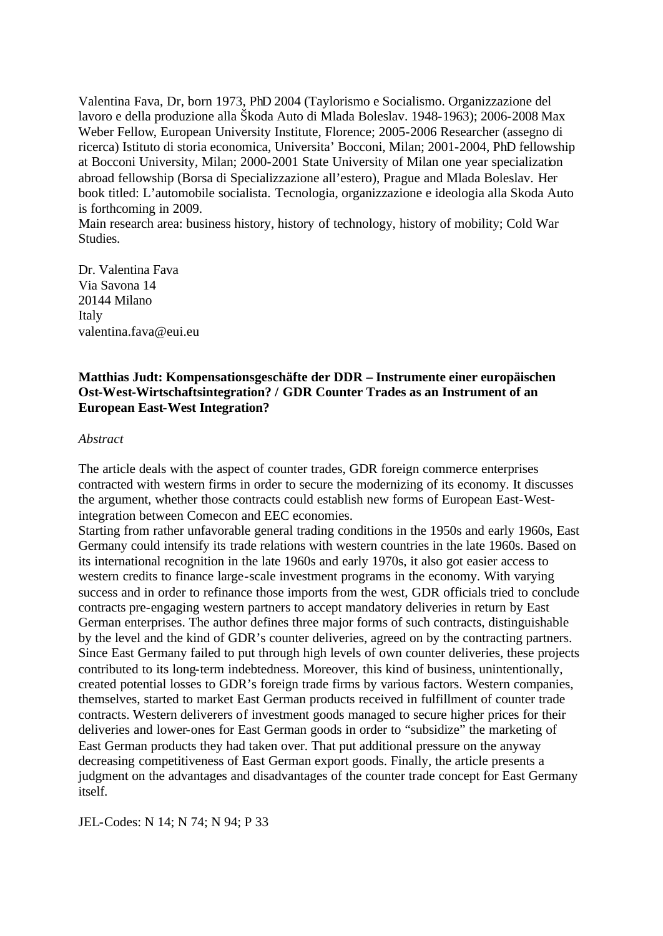Valentina Fava, Dr, born 1973, PhD 2004 (Taylorismo e Socialismo. Organizzazione del lavoro e della produzione alla Škoda Auto di Mlada Boleslav. 1948-1963); 2006-2008 Max Weber Fellow, European University Institute, Florence; 2005-2006 Researcher (assegno di ricerca) Istituto di storia economica, Universita' Bocconi, Milan; 2001-2004, PhD fellowship at Bocconi University, Milan; 2000-2001 State University of Milan one year specialization abroad fellowship (Borsa di Specializzazione all'estero), Prague and Mlada Boleslav. Her book titled: L'automobile socialista. Tecnologia, organizzazione e ideologia alla Skoda Auto is forthcoming in 2009.

Main research area: business history, history of technology, history of mobility; Cold War Studies.

Dr. Valentina Fava Via Savona 14 20144 Milano Italy valentina.fava@eui.eu

# **Matthias Judt: Kompensationsgeschäfte der DDR – Instrumente einer europäischen Ost-West-Wirtschaftsintegration? / GDR Counter Trades as an Instrument of an European East-West Integration?**

#### *Abstract*

The article deals with the aspect of counter trades, GDR foreign commerce enterprises contracted with western firms in order to secure the modernizing of its economy. It discusses the argument, whether those contracts could establish new forms of European East-Westintegration between Comecon and EEC economies.

Starting from rather unfavorable general trading conditions in the 1950s and early 1960s, East Germany could intensify its trade relations with western countries in the late 1960s. Based on its international recognition in the late 1960s and early 1970s, it also got easier access to western credits to finance large-scale investment programs in the economy. With varying success and in order to refinance those imports from the west, GDR officials tried to conclude contracts pre-engaging western partners to accept mandatory deliveries in return by East German enterprises. The author defines three major forms of such contracts, distinguishable by the level and the kind of GDR's counter deliveries, agreed on by the contracting partners. Since East Germany failed to put through high levels of own counter deliveries, these projects contributed to its long-term indebtedness. Moreover, this kind of business, unintentionally, created potential losses to GDR's foreign trade firms by various factors. Western companies, themselves, started to market East German products received in fulfillment of counter trade contracts. Western deliverers of investment goods managed to secure higher prices for their deliveries and lower-ones for East German goods in order to "subsidize" the marketing of East German products they had taken over. That put additional pressure on the anyway decreasing competitiveness of East German export goods. Finally, the article presents a judgment on the advantages and disadvantages of the counter trade concept for East Germany itself.

JEL-Codes: N 14; N 74; N 94; P 33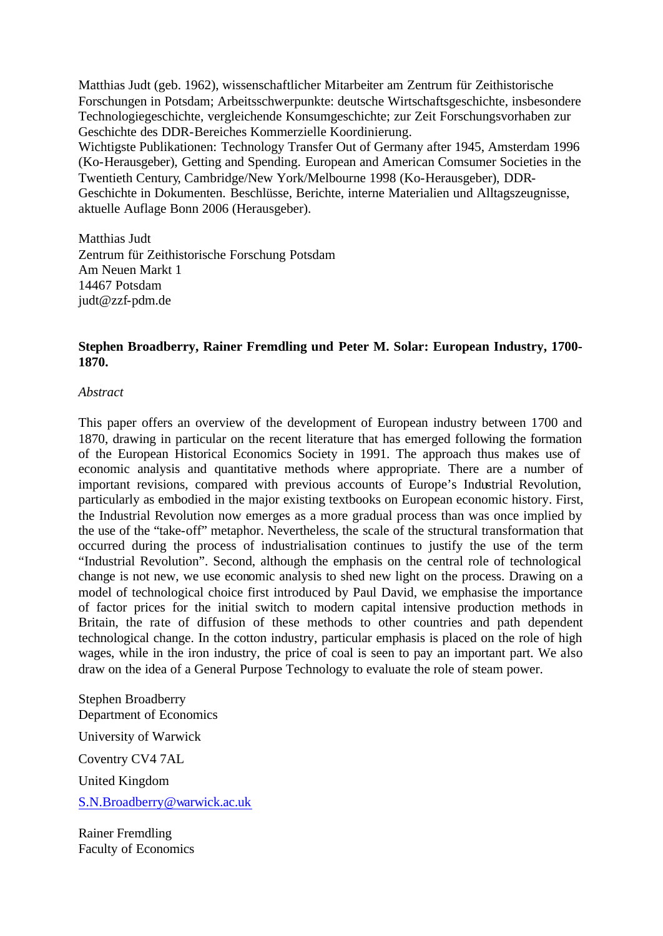Matthias Judt (geb. 1962), wissenschaftlicher Mitarbeiter am Zentrum für Zeithistorische Forschungen in Potsdam; Arbeitsschwerpunkte: deutsche Wirtschaftsgeschichte, insbesondere Technologiegeschichte, vergleichende Konsumgeschichte; zur Zeit Forschungsvorhaben zur Geschichte des DDR-Bereiches Kommerzielle Koordinierung.

Wichtigste Publikationen: Technology Transfer Out of Germany after 1945, Amsterdam 1996 (Ko-Herausgeber), Getting and Spending. European and American Comsumer Societies in the Twentieth Century, Cambridge/New York/Melbourne 1998 (Ko-Herausgeber), DDR-Geschichte in Dokumenten. Beschlüsse, Berichte, interne Materialien und Alltagszeugnisse, aktuelle Auflage Bonn 2006 (Herausgeber).

Matthias Judt Zentrum für Zeithistorische Forschung Potsdam Am Neuen Markt 1 14467 Potsdam judt@zzf-pdm.de

# **Stephen Broadberry, Rainer Fremdling und Peter M. Solar: European Industry, 1700- 1870.**

## *Abstract*

This paper offers an overview of the development of European industry between 1700 and 1870, drawing in particular on the recent literature that has emerged following the formation of the European Historical Economics Society in 1991. The approach thus makes use of economic analysis and quantitative methods where appropriate. There are a number of important revisions, compared with previous accounts of Europe's Industrial Revolution, particularly as embodied in the major existing textbooks on European economic history. First, the Industrial Revolution now emerges as a more gradual process than was once implied by the use of the "take-off" metaphor. Nevertheless, the scale of the structural transformation that occurred during the process of industrialisation continues to justify the use of the term "Industrial Revolution". Second, although the emphasis on the central role of technological change is not new, we use economic analysis to shed new light on the process. Drawing on a model of technological choice first introduced by Paul David, we emphasise the importance of factor prices for the initial switch to modern capital intensive production methods in Britain, the rate of diffusion of these methods to other countries and path dependent technological change. In the cotton industry, particular emphasis is placed on the role of high wages, while in the iron industry, the price of coal is seen to pay an important part. We also draw on the idea of a General Purpose Technology to evaluate the role of steam power.

Stephen Broadberry Department of Economics

University of Warwick

Coventry CV4 7AL

United Kingdom

S.N.Broadberry@warwick.ac.uk

Rainer Fremdling Faculty of Economics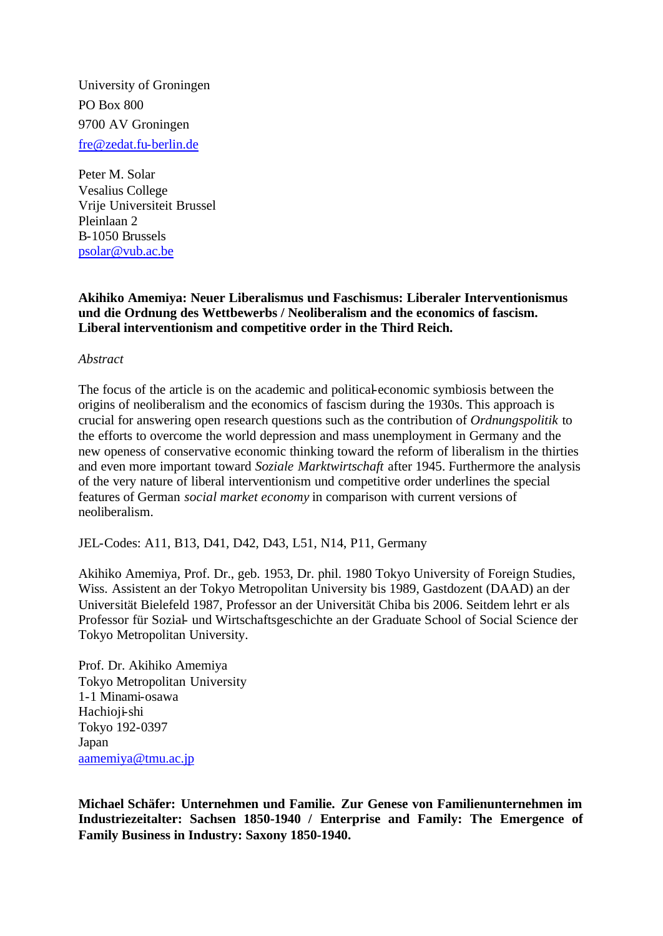University of Groningen PO Box 800 9700 AV Groningen fre@zedat.fu-berlin.de

Peter M. Solar Vesalius College Vrije Universiteit Brussel Pleinlaan 2 B-1050 Brussels psolar@vub.ac.be

## **Akihiko Amemiya: Neuer Liberalismus und Faschismus: Liberaler Interventionismus und die Ordnung des Wettbewerbs / Neoliberalism and the economics of fascism. Liberal interventionism and competitive order in the Third Reich.**

*Abstract*

The focus of the article is on the academic and political-economic symbiosis between the origins of neoliberalism and the economics of fascism during the 1930s. This approach is crucial for answering open research questions such as the contribution of *Ordnungspolitik* to the efforts to overcome the world depression and mass unemployment in Germany and the new openess of conservative economic thinking toward the reform of liberalism in the thirties and even more important toward *Soziale Marktwirtschaft* after 1945. Furthermore the analysis of the very nature of liberal interventionism und competitive order underlines the special features of German *social market economy* in comparison with current versions of neoliberalism.

JEL-Codes: A11, B13, D41, D42, D43, L51, N14, P11, Germany

Akihiko Amemiya, Prof. Dr., geb. 1953, Dr. phil. 1980 Tokyo University of Foreign Studies, Wiss. Assistent an der Tokyo Metropolitan University bis 1989, Gastdozent (DAAD) an der Universität Bielefeld 1987, Professor an der Universität Chiba bis 2006. Seitdem lehrt er als Professor für Sozial- und Wirtschaftsgeschichte an der Graduate School of Social Science der Tokyo Metropolitan University.

Prof. Dr. Akihiko Amemiya Tokyo Metropolitan University 1-1 Minami-osawa Hachioji-shi Tokyo 192-0397 Japan aamemiya@tmu.ac.jp

**Michael Schäfer: Unternehmen und Familie. Zur Genese von Familienunternehmen im Industriezeitalter: Sachsen 1850-1940 / Enterprise and Family: The Emergence of Family Business in Industry: Saxony 1850-1940.**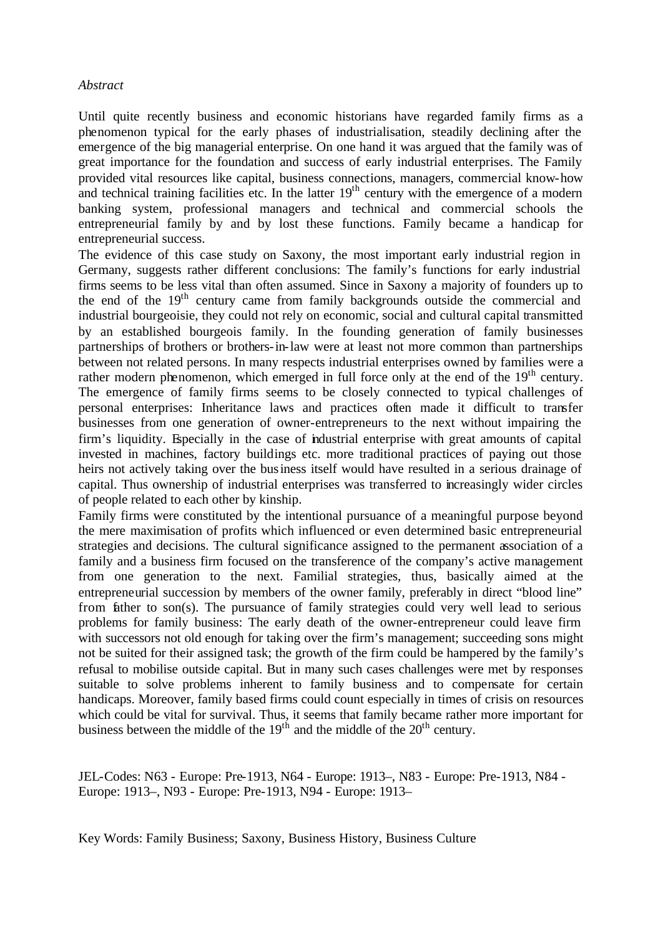#### *Abstract*

Until quite recently business and economic historians have regarded family firms as a phenomenon typical for the early phases of industrialisation, steadily declining after the emergence of the big managerial enterprise. On one hand it was argued that the family was of great importance for the foundation and success of early industrial enterprises. The Family provided vital resources like capital, business connections, managers, commercial know-how and technical training facilities etc. In the latter  $19<sup>th</sup>$  century with the emergence of a modern banking system, professional managers and technical and commercial schools the entrepreneurial family by and by lost these functions. Family became a handicap for entrepreneurial success.

The evidence of this case study on Saxony, the most important early industrial region in Germany, suggests rather different conclusions: The family's functions for early industrial firms seems to be less vital than often assumed. Since in Saxony a majority of founders up to the end of the 19<sup>th</sup> century came from family backgrounds outside the commercial and industrial bourgeoisie, they could not rely on economic, social and cultural capital transmitted by an established bourgeois family. In the founding generation of family businesses partnerships of brothers or brothers-in-law were at least not more common than partnerships between not related persons. In many respects industrial enterprises owned by families were a rather modern phenomenon, which emerged in full force only at the end of the  $19<sup>th</sup>$  century. The emergence of family firms seems to be closely connected to typical challenges of personal enterprises: Inheritance laws and practices often made it difficult to transfer businesses from one generation of owner-entrepreneurs to the next without impairing the firm's liquidity. Especially in the case of industrial enterprise with great amounts of capital invested in machines, factory buildings etc. more traditional practices of paying out those heirs not actively taking over the business itself would have resulted in a serious drainage of capital. Thus ownership of industrial enterprises was transferred to increasingly wider circles of people related to each other by kinship.

Family firms were constituted by the intentional pursuance of a meaningful purpose beyond the mere maximisation of profits which influenced or even determined basic entrepreneurial strategies and decisions. The cultural significance assigned to the permanent association of a family and a business firm focused on the transference of the company's active management from one generation to the next. Familial strategies, thus, basically aimed at the entrepreneurial succession by members of the owner family, preferably in direct "blood line" from father to son(s). The pursuance of family strategies could very well lead to serious problems for family business: The early death of the owner-entrepreneur could leave firm with successors not old enough for taking over the firm's management; succeeding sons might not be suited for their assigned task; the growth of the firm could be hampered by the family's refusal to mobilise outside capital. But in many such cases challenges were met by responses suitable to solve problems inherent to family business and to compensate for certain handicaps. Moreover, family based firms could count especially in times of crisis on resources which could be vital for survival. Thus, it seems that family became rather more important for business between the middle of the  $19<sup>th</sup>$  and the middle of the  $20<sup>th</sup>$  century.

JEL-Codes: N63 - Europe: Pre-1913, N64 - Europe: 1913–, N83 - Europe: Pre-1913, N84 - Europe: 1913–, N93 - Europe: Pre-1913, N94 - Europe: 1913–

Key Words: Family Business; Saxony, Business History, Business Culture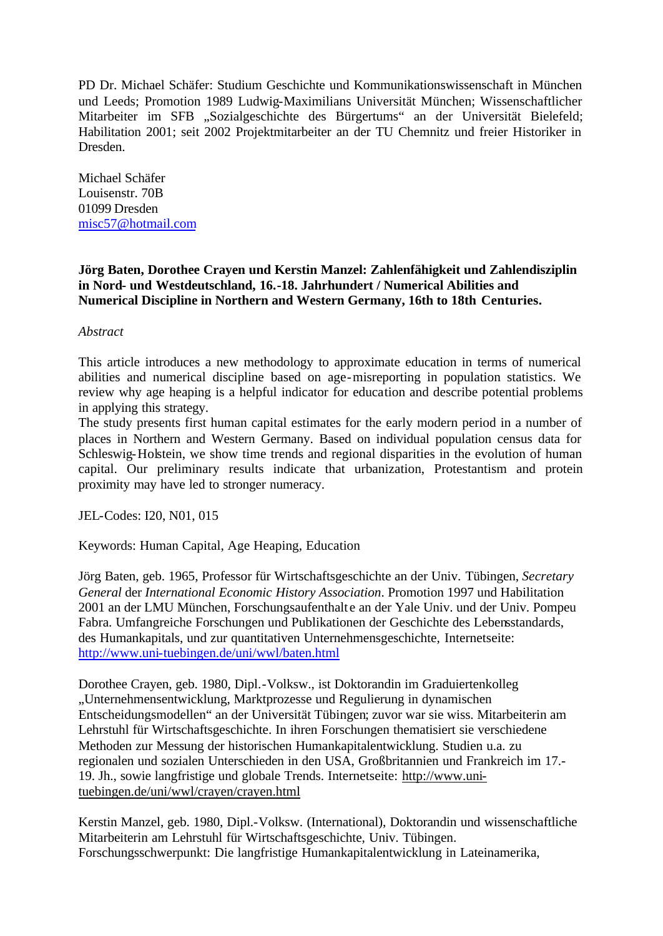PD Dr. Michael Schäfer: Studium Geschichte und Kommunikationswissenschaft in München und Leeds; Promotion 1989 Ludwig-Maximilians Universität München; Wissenschaftlicher Mitarbeiter im SFB "Sozialgeschichte des Bürgertums" an der Universität Bielefeld; Habilitation 2001; seit 2002 Projektmitarbeiter an der TU Chemnitz und freier Historiker in Dresden.

Michael Schäfer Louisenstr. 70B 01099 Dresden misc57@hotmail.com

# **Jörg Baten, Dorothee Crayen und Kerstin Manzel: Zahlenfähigkeit und Zahlendisziplin in Nord- und Westdeutschland, 16.-18. Jahrhundert / Numerical Abilities and Numerical Discipline in Northern and Western Germany, 16th to 18th Centuries.**

## *Abstract*

This article introduces a new methodology to approximate education in terms of numerical abilities and numerical discipline based on age-misreporting in population statistics. We review why age heaping is a helpful indicator for education and describe potential problems in applying this strategy.

The study presents first human capital estimates for the early modern period in a number of places in Northern and Western Germany. Based on individual population census data for Schleswig-Holstein, we show time trends and regional disparities in the evolution of human capital. Our preliminary results indicate that urbanization, Protestantism and protein proximity may have led to stronger numeracy.

JEL-Codes: I20, N01, 015

Keywords: Human Capital, Age Heaping, Education

Jörg Baten, geb. 1965, Professor für Wirtschaftsgeschichte an der Univ. Tübingen, *Secretary General* der *International Economic History Association*. Promotion 1997 und Habilitation 2001 an der LMU München, Forschungsaufenthalt e an der Yale Univ. und der Univ. Pompeu Fabra. Umfangreiche Forschungen und Publikationen der Geschichte des Lebensstandards, des Humankapitals, und zur quantitativen Unternehmensgeschichte, Internetseite: http://www.uni-tuebingen.de/uni/wwl/baten.html

Dorothee Crayen, geb. 1980, Dipl.-Volksw., ist Doktorandin im Graduiertenkolleg "Unternehmensentwicklung, Marktprozesse und Regulierung in dynamischen Entscheidungsmodellen" an der Universität Tübingen; zuvor war sie wiss. Mitarbeiterin am Lehrstuhl für Wirtschaftsgeschichte. In ihren Forschungen thematisiert sie verschiedene Methoden zur Messung der historischen Humankapitalentwicklung. Studien u.a. zu regionalen und sozialen Unterschieden in den USA, Großbritannien und Frankreich im 17.- 19. Jh., sowie langfristige und globale Trends. Internetseite: http://www.unituebingen.de/uni/wwl/crayen/crayen.html

Kerstin Manzel, geb. 1980, Dipl.-Volksw. (International), Doktorandin und wissenschaftliche Mitarbeiterin am Lehrstuhl für Wirtschaftsgeschichte, Univ. Tübingen. Forschungsschwerpunkt: Die langfristige Humankapitalentwicklung in Lateinamerika,